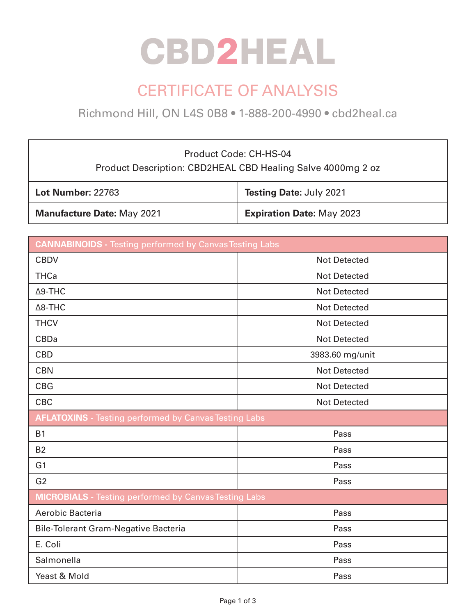# **CBD2HEAL**

## CERTIFICATE OF ANALYSIS

Richmond Hill, ON L4S 0B8 • 1-888-200-4990 • cbd2heal.ca

### Product Code: CH-HS-04 Product Description: CBD2HEAL CBD Healing Salve 4000mg 2 oz

| <b>Lot Number: 22763</b>          | Testing Date: July 2021          |
|-----------------------------------|----------------------------------|
| <b>Manufacture Date: May 2021</b> | <b>Expiration Date: May 2023</b> |

| <b>CANNABINOIDS</b> - Testing performed by Canvas Testing Labs |                     |  |
|----------------------------------------------------------------|---------------------|--|
| <b>CBDV</b>                                                    | <b>Not Detected</b> |  |
| <b>THCa</b>                                                    | <b>Not Detected</b> |  |
| $\Delta$ 9-THC                                                 | <b>Not Detected</b> |  |
| $\Delta$ 8-THC                                                 | <b>Not Detected</b> |  |
| <b>THCV</b>                                                    | <b>Not Detected</b> |  |
| <b>CBDa</b>                                                    | <b>Not Detected</b> |  |
| <b>CBD</b>                                                     | 3983.60 mg/unit     |  |
| <b>CBN</b>                                                     | <b>Not Detected</b> |  |
| <b>CBG</b>                                                     | <b>Not Detected</b> |  |
| <b>CBC</b>                                                     | <b>Not Detected</b> |  |
| <b>AFLATOXINS</b> - Testing performed by Canvas Testing Labs   |                     |  |
| <b>B1</b>                                                      | Pass                |  |
| <b>B2</b>                                                      | Pass                |  |
| G <sub>1</sub>                                                 | Pass                |  |
| G <sub>2</sub>                                                 | Pass                |  |
| <b>MICROBIALS</b> - Testing performed by Canvas Testing Labs   |                     |  |
| Aerobic Bacteria                                               | Pass                |  |
| <b>Bile-Tolerant Gram-Negative Bacteria</b>                    | Pass                |  |
| E. Coli                                                        | Pass                |  |
| Salmonella                                                     | Pass                |  |
| Yeast & Mold                                                   | Pass                |  |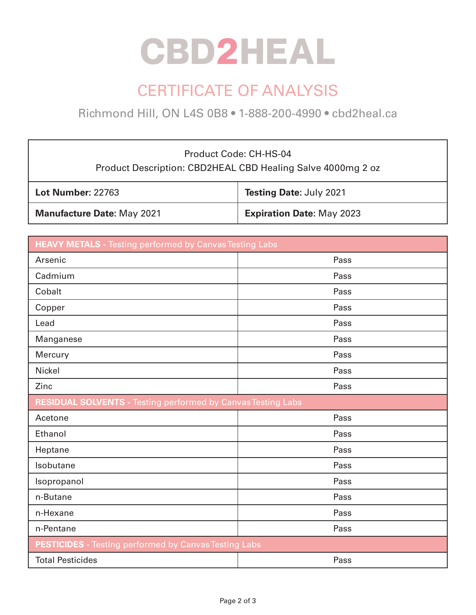# **CBD2HEAL**

## CERTIFICATE OF ANALYSIS

Richmond Hill, ON L4S 0B8 • 1-888-200-4990 • cbd2heal.ca

### Product Code: CH-HS-04 Product Description: CBD2HEAL CBD Healing Salve 4000mg 2 oz

| <b>Lot Number: 22763</b>          | Testing Date: July 2021          |
|-----------------------------------|----------------------------------|
| <b>Manufacture Date: May 2021</b> | <b>Expiration Date: May 2023</b> |

| <b>HEAVY METALS</b> - Testing performed by Canvas Testing Labs      |      |  |
|---------------------------------------------------------------------|------|--|
| Arsenic                                                             | Pass |  |
| Cadmium                                                             | Pass |  |
| Cobalt                                                              | Pass |  |
| Copper                                                              | Pass |  |
| Lead                                                                | Pass |  |
| Manganese                                                           | Pass |  |
| Mercury                                                             | Pass |  |
| <b>Nickel</b>                                                       | Pass |  |
| Zinc                                                                | Pass |  |
| <b>RESIDUAL SOLVENTS - Testing performed by Canvas Testing Labs</b> |      |  |
| Acetone                                                             | Pass |  |
| Ethanol                                                             | Pass |  |
| Heptane                                                             | Pass |  |
| Isobutane                                                           | Pass |  |
| Isopropanol                                                         | Pass |  |
| n-Butane                                                            | Pass |  |
| n-Hexane                                                            | Pass |  |
| n-Pentane                                                           | Pass |  |
| <b>PESTICIDES</b> - Testing performed by Canvas Testing Labs        |      |  |
| <b>Total Pesticides</b>                                             | Pass |  |